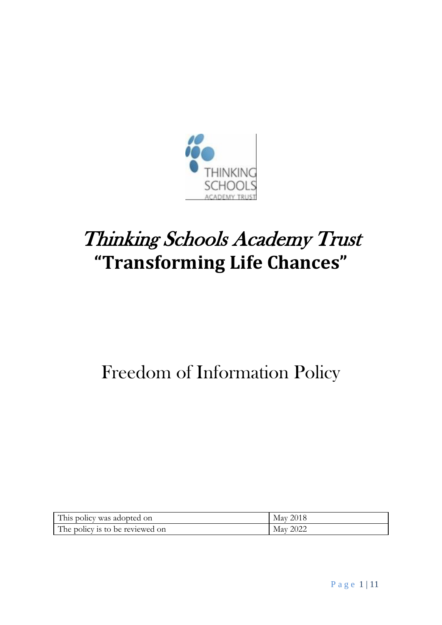

# Thinking Schools Academy Trust **"Transforming Life Chances"**

## Freedom of Information Policy

| This policy was adopted on      | May 2018 |
|---------------------------------|----------|
| The policy is to be reviewed on | May 2022 |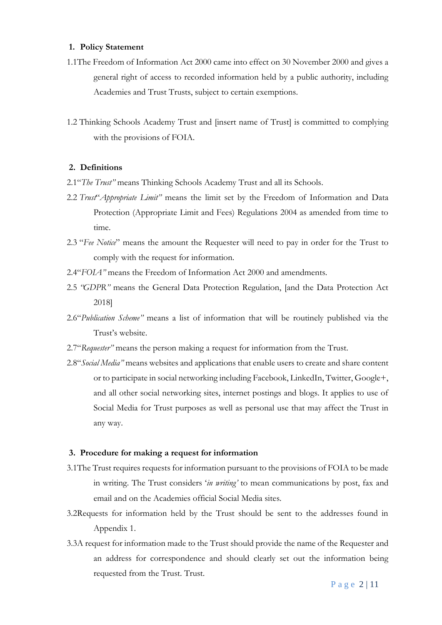#### **1. Policy Statement**

- 1.1The Freedom of Information Act 2000 came into effect on 30 November 2000 and gives a general right of access to recorded information held by a public authority, including Academies and Trust Trusts, subject to certain exemptions.
- 1.2 Thinking Schools Academy Trust and [insert name of Trust] is committed to complying with the provisions of FOIA.

#### **2. Definitions**

- 2.1"*The Trust"* means Thinking Schools Academy Trust and all its Schools.
- 2.2 *Trust*"*Appropriate Limit"* means the limit set by the Freedom of Information and Data Protection (Appropriate Limit and Fees) Regulations 2004 as amended from time to time.
- 2.3 "*Fee Notice*" means the amount the Requester will need to pay in order for the Trust to comply with the request for information.
- 2.4"*FOIA"* means the Freedom of Information Act 2000 and amendments.
- 2.5 *"GDPR"* means the General Data Protection Regulation, [and the Data Protection Act 2018]
- 2.6"*Publication Scheme"* means a list of information that will be routinely published via the Trust's website.
- 2.7"*Requester"* means the person making a request for information from the Trust.
- 2.8"*Social Media"* means websites and applications that enable users to create and share content or to participate in social networking including Facebook, LinkedIn, Twitter, Google+, and all other social networking sites, internet postings and blogs. It applies to use of Social Media for Trust purposes as well as personal use that may affect the Trust in any way.

#### **3. Procedure for making a request for information**

- 3.1The Trust requires requests for information pursuant to the provisions of FOIA to be made in writing. The Trust considers '*in writing'* to mean communications by post, fax and email and on the Academies official Social Media sites.
- 3.2Requests for information held by the Trust should be sent to the addresses found in Appendix 1.
- 3.3A request for information made to the Trust should provide the name of the Requester and an address for correspondence and should clearly set out the information being requested from the Trust. Trust.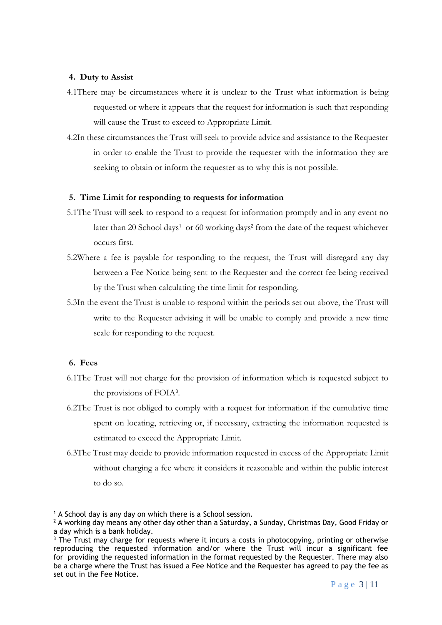#### **4. Duty to Assist**

- 4.1There may be circumstances where it is unclear to the Trust what information is being requested or where it appears that the request for information is such that responding will cause the Trust to exceed to Appropriate Limit.
- 4.2In these circumstances the Trust will seek to provide advice and assistance to the Requester in order to enable the Trust to provide the requester with the information they are seeking to obtain or inform the requester as to why this is not possible.

#### **5. Time Limit for responding to requests for information**

- 5.1The Trust will seek to respond to a request for information promptly and in any event no later than 20 School days<sup>1</sup> or 60 working days<sup>2</sup> from the date of the request whichever occurs first.
- 5.2Where a fee is payable for responding to the request, the Trust will disregard any day between a Fee Notice being sent to the Requester and the correct fee being received by the Trust when calculating the time limit for responding.
- 5.3In the event the Trust is unable to respond within the periods set out above, the Trust will write to the Requester advising it will be unable to comply and provide a new time scale for responding to the request.

#### **6. Fees**

1

- 6.1The Trust will not charge for the provision of information which is requested subject to the provisions of FOIA<sup>3</sup> .
- 6.2The Trust is not obliged to comply with a request for information if the cumulative time spent on locating, retrieving or, if necessary, extracting the information requested is estimated to exceed the Appropriate Limit.
- 6.3The Trust may decide to provide information requested in excess of the Appropriate Limit without charging a fee where it considers it reasonable and within the public interest to do so.

<sup>&</sup>lt;sup>1</sup> A School day is any day on which there is a School session.

 $2$  A working day means any other day other than a Saturday, a Sunday, Christmas Day, Good Friday or a day which is a bank holiday.

 $3$  The Trust may charge for requests where it incurs a costs in photocopying, printing or otherwise reproducing the requested information and/or where the Trust will incur a significant fee for providing the requested information in the format requested by the Requester. There may also be a charge where the Trust has issued a Fee Notice and the Requester has agreed to pay the fee as set out in the Fee Notice.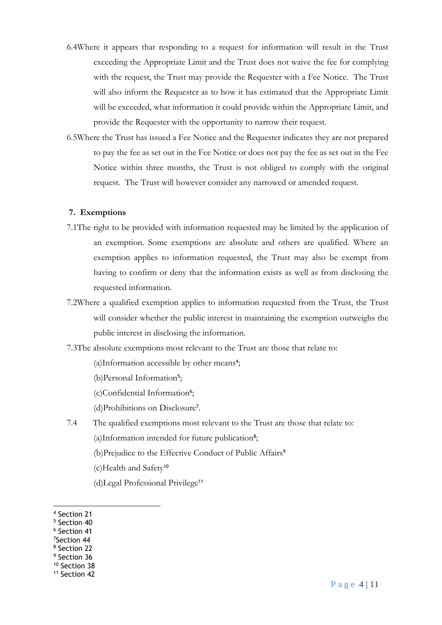- 6.4Where it appears that responding to a request for information will result in the Trust exceeding the Appropriate Limit and the Trust does not waive the fee for complying with the request, the Trust may provide the Requester with a Fee Notice. The Trust will also inform the Requester as to how it has estimated that the Appropriate Limit will be exceeded, what information it could provide within the Appropriate Limit, and provide the Requester with the opportunity to narrow their request.
- 6.5Where the Trust has issued a Fee Notice and the Requester indicates they are not prepared to pay the fee as set out in the Fee Notice or does not pay the fee as set out in the Fee Notice within three months, the Trust is not obliged to comply with the original request. The Trust will however consider any narrowed or amended request.

#### **7. Exemptions**

- 7.1The right to be provided with information requested may be limited by the application of an exemption. Some exemptions are absolute and others are qualified. Where an exemption applies to information requested, the Trust may also be exempt from having to confirm or deny that the information exists as well as from disclosing the requested information.
- 7.2Where a qualified exemption applies to information requested from the Trust, the Trust will consider whether the public interest in maintaining the exemption outweighs the public interest in disclosing the information.
- 7.3The absolute exemptions most relevant to the Trust are those that relate to:
	- (a)Information accessible by other means<sup>4</sup>;
	- (b) Personal Information<sup>5</sup>;
	- (c)Confidential Information<sup>6</sup>;
	- (d)Prohibitions on Disclosure<sup>7</sup> .
- 7.4 The qualified exemptions most relevant to the Trust are those that relate to: (a)Information intended for future publication<sup>8</sup>;
	- (b)Prejudice to the Effective Conduct of Public Affairs<sup>9</sup>
	- (c)Health and Safety<sup>10</sup>
	- (d)Legal Professional Privilege<sup>11</sup>

1

<sup>4</sup> Section 21

<sup>5</sup> Section 40

<sup>6</sup> Section 41

<sup>7</sup>Section 44

<sup>8</sup> Section 22 <sup>9</sup> Section 36

<sup>10</sup> Section 38

<sup>&</sup>lt;sup>11</sup> Section 42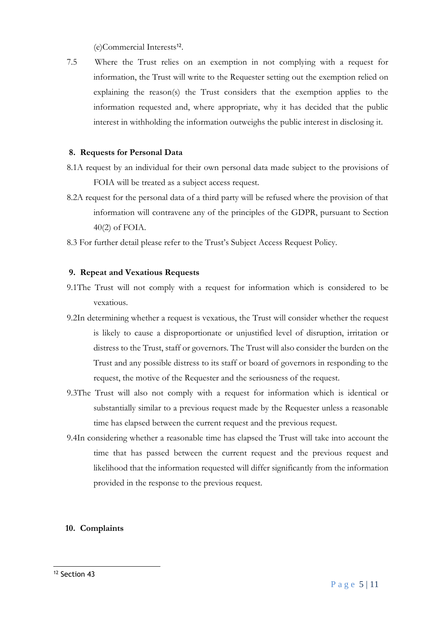(e)Commercial Interests<sup>12</sup> .

7.5 Where the Trust relies on an exemption in not complying with a request for information, the Trust will write to the Requester setting out the exemption relied on explaining the reason(s) the Trust considers that the exemption applies to the information requested and, where appropriate, why it has decided that the public interest in withholding the information outweighs the public interest in disclosing it.

#### **8. Requests for Personal Data**

- 8.1A request by an individual for their own personal data made subject to the provisions of FOIA will be treated as a subject access request.
- 8.2A request for the personal data of a third party will be refused where the provision of that information will contravene any of the principles of the GDPR, pursuant to Section 40(2) of FOIA.
- 8.3 For further detail please refer to the Trust's Subject Access Request Policy.

#### **9. Repeat and Vexatious Requests**

- 9.1The Trust will not comply with a request for information which is considered to be vexatious.
- 9.2In determining whether a request is vexatious, the Trust will consider whether the request is likely to cause a disproportionate or unjustified level of disruption, irritation or distress to the Trust, staff or governors. The Trust will also consider the burden on the Trust and any possible distress to its staff or board of governors in responding to the request, the motive of the Requester and the seriousness of the request.
- 9.3The Trust will also not comply with a request for information which is identical or substantially similar to a previous request made by the Requester unless a reasonable time has elapsed between the current request and the previous request.
- 9.4In considering whether a reasonable time has elapsed the Trust will take into account the time that has passed between the current request and the previous request and likelihood that the information requested will differ significantly from the information provided in the response to the previous request.

#### **10. Complaints**

<sup>1</sup> <sup>12</sup> Section 43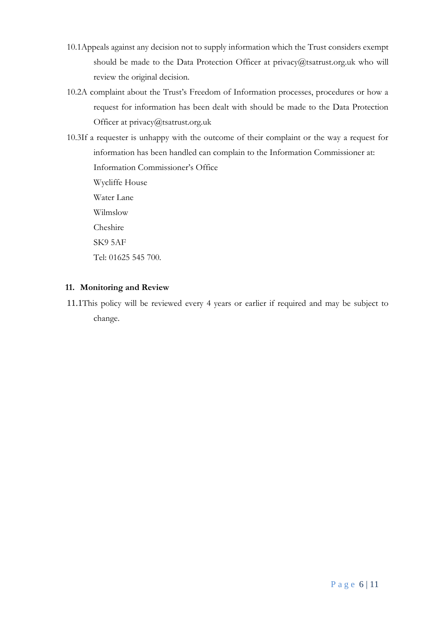- 10.1Appeals against any decision not to supply information which the Trust considers exempt should be made to the Data Protection Officer at privacy@tsatrust.org.uk who will review the original decision.
- 10.2A complaint about the Trust's Freedom of Information processes, procedures or how a request for information has been dealt with should be made to the Data Protection Officer at privacy@tsatrust.org.uk

10.3If a requester is unhappy with the outcome of their complaint or the way a request for information has been handled can complain to the Information Commissioner at: Information Commissioner's Office Wycliffe House Water Lane Wilmslow Cheshire SK9 5AF Tel: 01625 545 700.

#### **11. Monitoring and Review**

11.1This policy will be reviewed every 4 years or earlier if required and may be subject to change.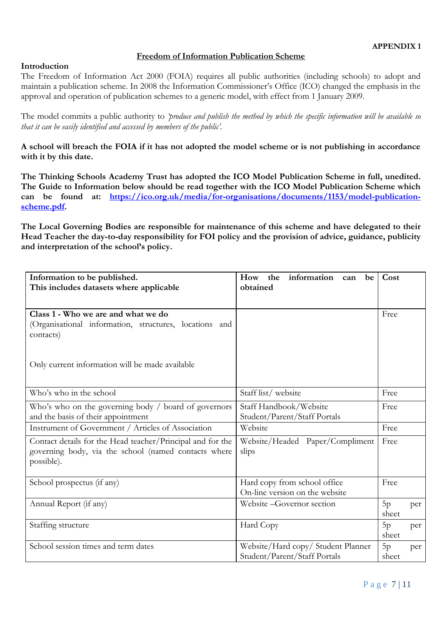#### **Freedom of Information Publication Scheme**

#### **Introduction**

The Freedom of Information Act 2000 (FOIA) requires all public authorities (including schools) to adopt and maintain a publication scheme. In 2008 the Information Commissioner's Office (ICO) changed the emphasis in the approval and operation of publication schemes to a generic model, with effect from 1 January 2009.

The model commits a public authority to *'produce and publish the method by which the specific information will be available so that it can be easily identified and accessed by members of the public'.* 

**A school will breach the FOIA if it has not adopted the model scheme or is not publishing in accordance with it by this date.** 

**The Thinking Schools Academy Trust has adopted the ICO Model Publication Scheme in full, unedited. The Guide to Information below should be read together with the ICO Model Publication Scheme which can be found at: [https://ico.org.uk/media/for-organisations/documents/1153/model-publication](https://ico.org.uk/media/for-organisations/documents/1153/model-publication-scheme.pdf)[scheme.pdf.](https://ico.org.uk/media/for-organisations/documents/1153/model-publication-scheme.pdf)** 

**The Local Governing Bodies are responsible for maintenance of this scheme and have delegated to their Head Teacher the day-to-day responsibility for FOI policy and the provision of advice, guidance, publicity and interpretation of the school's policy.**

| Information to be published.<br>This includes datasets where applicable                                                          | the information can<br>How<br>be<br>obtained                           | Cost        |     |
|----------------------------------------------------------------------------------------------------------------------------------|------------------------------------------------------------------------|-------------|-----|
|                                                                                                                                  |                                                                        |             |     |
| Class 1 - Who we are and what we do<br>(Organisational information, structures, locations and<br>contacts)                       |                                                                        | Free        |     |
| Only current information will be made available                                                                                  |                                                                        |             |     |
| Who's who in the school                                                                                                          | Staff list/website<br>Free                                             |             |     |
| Who's who on the governing body / board of governors<br>and the basis of their appointment                                       | Staff Handbook/Website<br>Student/Parent/Staff Portals                 |             |     |
| Instrument of Government / Articles of Association                                                                               | Website                                                                |             |     |
| Contact details for the Head teacher/Principal and for the<br>governing body, via the school (named contacts where<br>possible). | Website/Headed Paper/Compliment<br>slips                               |             |     |
| School prospectus (if any)                                                                                                       | Hard copy from school office<br>Free<br>On-line version on the website |             |     |
| Annual Report (if any)                                                                                                           | Website-Governor section<br>5p<br>sheet                                |             | per |
| Staffing structure                                                                                                               | Hard Copy                                                              | 5p<br>sheet | per |
| School session times and term dates                                                                                              | Website/Hard copy/ Student Planner<br>Student/Parent/Staff Portals     | 5p<br>sheet | per |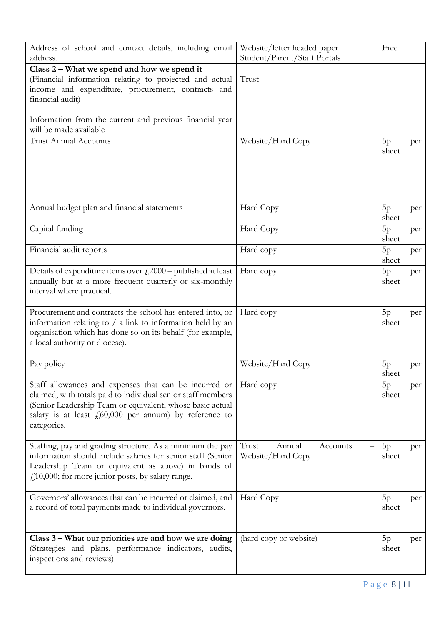| Address of school and contact details, including email<br>address.                                                                                                                                                                                            | Website/letter headed paper<br>Student/Parent/Staff Portals | Free        |     |
|---------------------------------------------------------------------------------------------------------------------------------------------------------------------------------------------------------------------------------------------------------------|-------------------------------------------------------------|-------------|-----|
| Class 2 – What we spend and how we spend it<br>(Financial information relating to projected and actual<br>income and expenditure, procurement, contracts and<br>financial audit)                                                                              | Trust                                                       |             |     |
| Information from the current and previous financial year<br>will be made available                                                                                                                                                                            |                                                             |             |     |
| <b>Trust Annual Accounts</b>                                                                                                                                                                                                                                  | Website/Hard Copy                                           | 5p<br>sheet | per |
| Annual budget plan and financial statements                                                                                                                                                                                                                   | Hard Copy                                                   | 5p<br>sheet | per |
| Capital funding                                                                                                                                                                                                                                               | Hard Copy                                                   | 5p<br>sheet | per |
| Financial audit reports                                                                                                                                                                                                                                       | Hard copy                                                   | 5p<br>sheet | per |
| Details of expenditure items over $f(2000 - \text{published at least})$<br>annually but at a more frequent quarterly or six-monthly<br>interval where practical.                                                                                              | Hard copy                                                   | 5p<br>sheet | per |
| Procurement and contracts the school has entered into, or<br>information relating to $/ a$ link to information held by an<br>organisation which has done so on its behalf (for example,<br>a local authority or diocese).                                     | Hard copy                                                   | 5p<br>sheet | per |
| Pay policy                                                                                                                                                                                                                                                    | Website/Hard Copy                                           | 5p<br>sheet | per |
| Staff allowances and expenses that can be incurred or<br>claimed, with totals paid to individual senior staff members<br>(Senior Leadership Team or equivalent, whose basic actual<br>salary is at least $f060,000$ per annum) by reference to<br>categories. | Hard copy                                                   | 5p<br>sheet | per |
| Staffing, pay and grading structure. As a minimum the pay<br>information should include salaries for senior staff (Senior<br>Leadership Team or equivalent as above) in bands of<br>$f110,000$ ; for more junior posts, by salary range.                      | Trust<br>Annual<br>Accounts<br>Website/Hard Copy            | 5p<br>sheet | per |
| Governors' allowances that can be incurred or claimed, and<br>a record of total payments made to individual governors.                                                                                                                                        | Hard Copy                                                   | 5p<br>sheet | per |
| Class 3 – What our priorities are and how we are doing<br>(Strategies and plans, performance indicators, audits,<br>inspections and reviews)                                                                                                                  | (hard copy or website)                                      | 5p<br>sheet | per |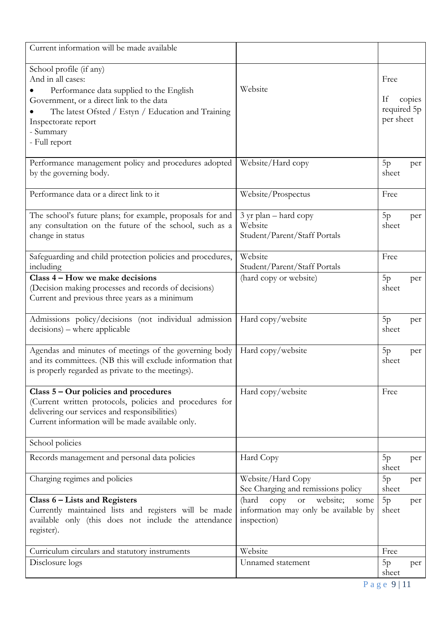| Current information will be made available                                                                                                                                                                                                      |                                                                                                          |             |                                                  |  |
|-------------------------------------------------------------------------------------------------------------------------------------------------------------------------------------------------------------------------------------------------|----------------------------------------------------------------------------------------------------------|-------------|--------------------------------------------------|--|
| School profile (if any)<br>And in all cases:<br>Performance data supplied to the English<br>Government, or a direct link to the data<br>The latest Ofsted / Estyn / Education and Training<br>Inspectorate report<br>- Summary<br>- Full report | Website                                                                                                  |             | Free<br>If<br>copies<br>required 5p<br>per sheet |  |
| Performance management policy and procedures adopted<br>by the governing body.                                                                                                                                                                  | Website/Hard copy<br>5p<br>sheet                                                                         |             | per                                              |  |
| Performance data or a direct link to it                                                                                                                                                                                                         | Website/Prospectus<br>Free                                                                               |             |                                                  |  |
| The school's future plans; for example, proposals for and<br>any consultation on the future of the school, such as a<br>change in status                                                                                                        | 3 yr plan – hard copy<br>Website<br>Student/Parent/Staff Portals                                         |             | per                                              |  |
| Safeguarding and child protection policies and procedures,<br>including                                                                                                                                                                         | Website<br>Student/Parent/Staff Portals                                                                  |             |                                                  |  |
| Class 4 – How we make decisions<br>(Decision making processes and records of decisions)<br>Current and previous three years as a minimum                                                                                                        | (hard copy or website)<br>5p<br>sheet                                                                    |             | per                                              |  |
| Admissions policy/decisions (not individual admission<br>decisions) – where applicable                                                                                                                                                          | Hard copy/website                                                                                        |             | per                                              |  |
| Agendas and minutes of meetings of the governing body<br>and its committees. (NB this will exclude information that<br>is properly regarded as private to the meetings).                                                                        | Hard copy/website                                                                                        | 5p<br>sheet | per                                              |  |
| Class $5 -$ Our policies and procedures<br>(Current written protocols, policies and procedures for<br>delivering our services and responsibilities)<br>Current information will be made available only.                                         | Hard copy/website                                                                                        | Free        |                                                  |  |
| School policies                                                                                                                                                                                                                                 |                                                                                                          |             |                                                  |  |
| Records management and personal data policies                                                                                                                                                                                                   | Hard Copy                                                                                                | 5p<br>sheet | per                                              |  |
| Charging regimes and policies                                                                                                                                                                                                                   | Website/Hard Copy<br>See Charging and remissions policy                                                  | 5p<br>sheet | per                                              |  |
| Class 6 – Lists and Registers<br>Currently maintained lists and registers will be made<br>available only (this does not include the attendance<br>register).                                                                                    | (hard<br>website;<br>copy<br>$_{\rm{or}}$<br>some<br>information may only be available by<br>inspection) | 5p<br>sheet | per                                              |  |
| Curriculum circulars and statutory instruments                                                                                                                                                                                                  | Website                                                                                                  | Free        |                                                  |  |
| Disclosure logs                                                                                                                                                                                                                                 | Unnamed statement                                                                                        | 5p<br>sheet | per                                              |  |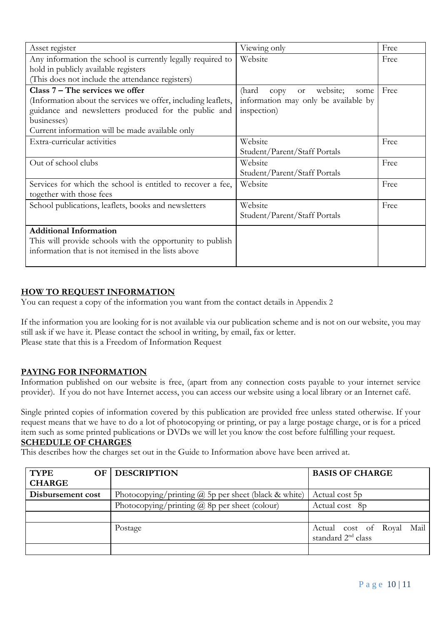| Asset register                                                | Viewing only                                   | Free |
|---------------------------------------------------------------|------------------------------------------------|------|
| Any information the school is currently legally required to   | Website                                        | Free |
| hold in publicly available registers                          |                                                |      |
| (This does not include the attendance registers)              |                                                |      |
| Class $7 -$ The services we offer                             | website;<br>(hard<br>copy<br><b>or</b><br>some | Free |
| (Information about the services we offer, including leaflets, | information may only be available by           |      |
| guidance and newsletters produced for the public and          | inspection)                                    |      |
| businesses)                                                   |                                                |      |
| Current information will be made available only               |                                                |      |
| Extra-curricular activities                                   | Website                                        | Free |
|                                                               | Student/Parent/Staff Portals                   |      |
| Out of school clubs                                           | Website                                        | Free |
|                                                               | Student/Parent/Staff Portals                   |      |
| Services for which the school is entitled to recover a fee,   | Website                                        | Free |
| together with those fees                                      |                                                |      |
| School publications, leaflets, books and newsletters          | Website                                        | Free |
|                                                               | Student/Parent/Staff Portals                   |      |
| <b>Additional Information</b>                                 |                                                |      |
| This will provide schools with the opportunity to publish     |                                                |      |
| information that is not itemised in the lists above           |                                                |      |
|                                                               |                                                |      |

#### **HOW TO REQUEST INFORMATION**

You can request a copy of the information you want from the contact details in Appendix 2

If the information you are looking for is not available via our publication scheme and is not on our website, you may still ask if we have it. Please contact the school in writing, by email, fax or letter. Please state that this is a Freedom of Information Request

#### **PAYING FOR INFORMATION**

Information published on our website is free, (apart from any connection costs payable to your internet service provider). If you do not have Internet access, you can access our website using a local library or an Internet café.

Single printed copies of information covered by this publication are provided free unless stated otherwise. If your request means that we have to do a lot of photocopying or printing, or pay a large postage charge, or is for a priced item such as some printed publications or DVDs we will let you know the cost before fulfilling your request. **SCHEDULE OF CHARGES**

#### This describes how the charges set out in the Guide to Information above have been arrived at.

| <b>TYPE</b><br>OF<br><b>CHARGE</b> | <b>DESCRIPTION</b>                                          | <b>BASIS OF CHARGE</b>                                      |
|------------------------------------|-------------------------------------------------------------|-------------------------------------------------------------|
| Disbursement cost                  | Photocopying/printing $\omega$ 5p per sheet (black & white) | Actual cost 5p                                              |
|                                    | Photocopying/printing $\omega$ 8p per sheet (colour)        | Actual cost 8p                                              |
|                                    |                                                             |                                                             |
|                                    | Postage                                                     | Actual cost of Royal Mail<br>standard 2 <sup>nd</sup> class |
|                                    |                                                             |                                                             |